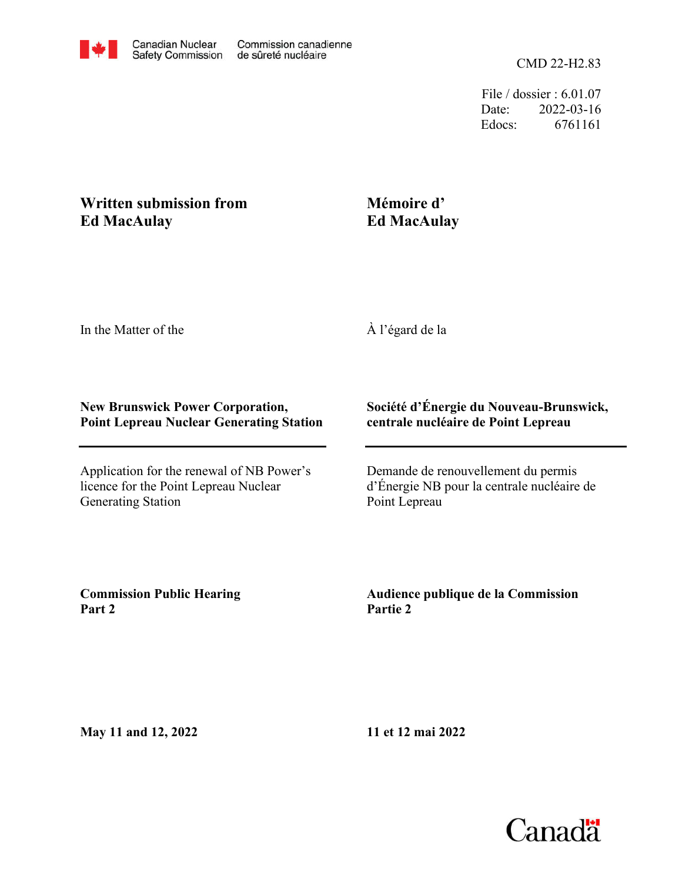File / dossier : 6.01.07 Date: 2022-03-16 Edocs: 6761161

## **Written submission from Ed MacAulay**

## **Mémoire d' Ed MacAulay**

In the Matter of the

À l'égard de la

## **New Brunswick Power Corporation, Point Lepreau Nuclear Generating Station**

Application for the renewal of NB Power's licence for the Point Lepreau Nuclear Generating Station

## **Société d'Énergie du Nouveau-Brunswick, centrale nucléaire de Point Lepreau**

Demande de renouvellement du permis d'Énergie NB pour la centrale nucléaire de Point Lepreau

**Commission Public Hearing Part 2**

**Audience publique de la Commission Partie 2**

**May 11 and 12, 2022**

**11 et 12 mai 2022**